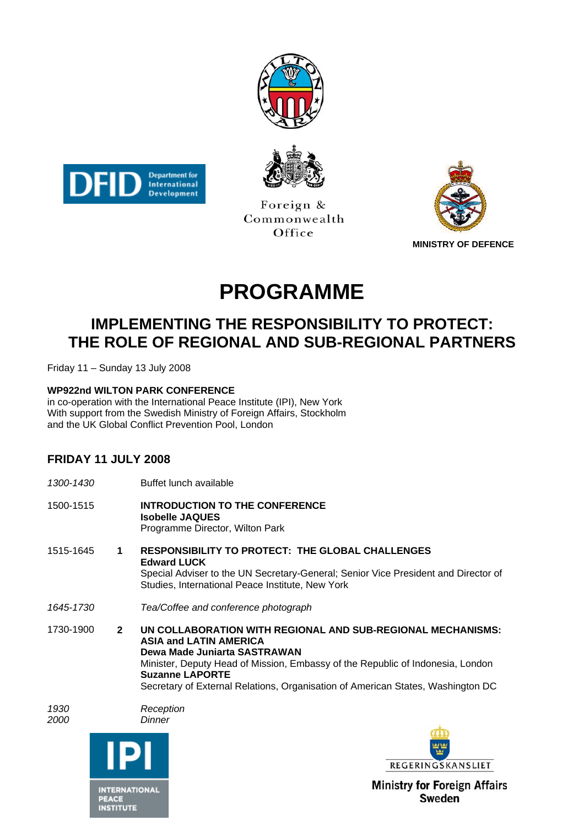





Foreign & Commonwealth Office



# **PROGRAMME**

## **IMPLEMENTING THE RESPONSIBILITY TO PROTECT: THE ROLE OF REGIONAL AND SUB-REGIONAL PARTNERS**

Friday 11 – Sunday 13 July 2008

#### **WP922nd WILTON PARK CONFERENCE**

in co-operation with the International Peace Institute (IPI), New York With support from the Swedish Ministry of Foreign Affairs, Stockholm and the UK Global Conflict Prevention Pool, London

#### **FRIDAY 11 JULY 2008**

|              | Buffet lunch available                                                                                                                                                                                                                                                                                                      |
|--------------|-----------------------------------------------------------------------------------------------------------------------------------------------------------------------------------------------------------------------------------------------------------------------------------------------------------------------------|
|              | <b>INTRODUCTION TO THE CONFERENCE</b><br><b>Isobelle JAQUES</b><br>Programme Director, Wilton Park                                                                                                                                                                                                                          |
| 1            | <b>RESPONSIBILITY TO PROTECT: THE GLOBAL CHALLENGES</b><br><b>Edward LUCK</b><br>Special Adviser to the UN Secretary-General; Senior Vice President and Director of<br>Studies, International Peace Institute, New York                                                                                                     |
|              | Tea/Coffee and conference photograph                                                                                                                                                                                                                                                                                        |
| $\mathbf{2}$ | UN COLLABORATION WITH REGIONAL AND SUB-REGIONAL MECHANISMS:<br><b>ASIA and LATIN AMERICA</b><br>Dewa Made Juniarta SASTRAWAN<br>Minister, Deputy Head of Mission, Embassy of the Republic of Indonesia, London<br><b>Suzanne LAPORTE</b><br>Secretary of External Relations, Organisation of American States, Washington DC |
|              | Reception<br>Dinner<br>REGERINGSKANSLIET                                                                                                                                                                                                                                                                                    |
|              |                                                                                                                                                                                                                                                                                                                             |



**INTERNATIONAL** PEACE<br>INSTITUTE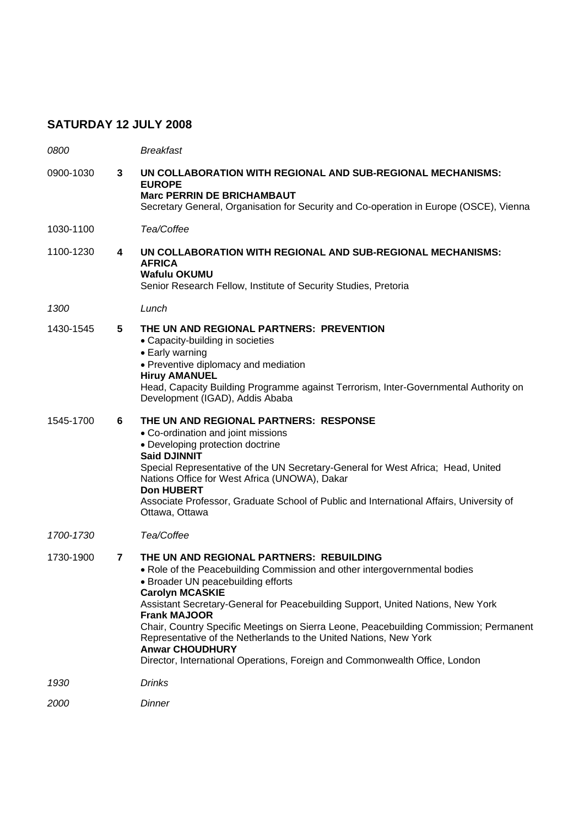### **SATURDAY 12 JULY 2008**

| <i>0800</i> |                | <b>Breakfast</b>                                                                                                                                                                                                                                                                                                                                                                                                                                                                                                                                                       |
|-------------|----------------|------------------------------------------------------------------------------------------------------------------------------------------------------------------------------------------------------------------------------------------------------------------------------------------------------------------------------------------------------------------------------------------------------------------------------------------------------------------------------------------------------------------------------------------------------------------------|
| 0900-1030   | 3              | UN COLLABORATION WITH REGIONAL AND SUB-REGIONAL MECHANISMS:<br><b>EUROPE</b><br><b>Marc PERRIN DE BRICHAMBAUT</b><br>Secretary General, Organisation for Security and Co-operation in Europe (OSCE), Vienna                                                                                                                                                                                                                                                                                                                                                            |
| 1030-1100   |                | Tea/Coffee                                                                                                                                                                                                                                                                                                                                                                                                                                                                                                                                                             |
| 1100-1230   | 4              | UN COLLABORATION WITH REGIONAL AND SUB-REGIONAL MECHANISMS:<br><b>AFRICA</b><br><b>Wafulu OKUMU</b><br>Senior Research Fellow, Institute of Security Studies, Pretoria                                                                                                                                                                                                                                                                                                                                                                                                 |
| 1300        |                | Lunch                                                                                                                                                                                                                                                                                                                                                                                                                                                                                                                                                                  |
| 1430-1545   | 5              | THE UN AND REGIONAL PARTNERS: PREVENTION<br>• Capacity-building in societies<br>• Early warning<br>• Preventive diplomacy and mediation<br><b>Hiruy AMANUEL</b><br>Head, Capacity Building Programme against Terrorism, Inter-Governmental Authority on<br>Development (IGAD), Addis Ababa                                                                                                                                                                                                                                                                             |
| 1545-1700   | 6              | THE UN AND REGIONAL PARTNERS: RESPONSE<br>• Co-ordination and joint missions<br>• Developing protection doctrine<br><b>Said DJINNIT</b><br>Special Representative of the UN Secretary-General for West Africa; Head, United<br>Nations Office for West Africa (UNOWA), Dakar<br><b>Don HUBERT</b><br>Associate Professor, Graduate School of Public and International Affairs, University of<br>Ottawa, Ottawa                                                                                                                                                         |
| 1700-1730   |                | Tea/Coffee                                                                                                                                                                                                                                                                                                                                                                                                                                                                                                                                                             |
| 1730-1900   | $\overline{7}$ | THE UN AND REGIONAL PARTNERS: REBUILDING<br>• Role of the Peacebuilding Commission and other intergovernmental bodies<br>• Broader UN peacebuilding efforts<br><b>Carolyn MCASKIE</b><br>Assistant Secretary-General for Peacebuilding Support, United Nations, New York<br><b>Frank MAJOOR</b><br>Chair, Country Specific Meetings on Sierra Leone, Peacebuilding Commission; Permanent<br>Representative of the Netherlands to the United Nations, New York<br><b>Anwar CHOUDHURY</b><br>Director, International Operations, Foreign and Commonwealth Office, London |
| 1930        |                | <b>Drinks</b>                                                                                                                                                                                                                                                                                                                                                                                                                                                                                                                                                          |
| 2000        |                | Dinner                                                                                                                                                                                                                                                                                                                                                                                                                                                                                                                                                                 |
|             |                |                                                                                                                                                                                                                                                                                                                                                                                                                                                                                                                                                                        |